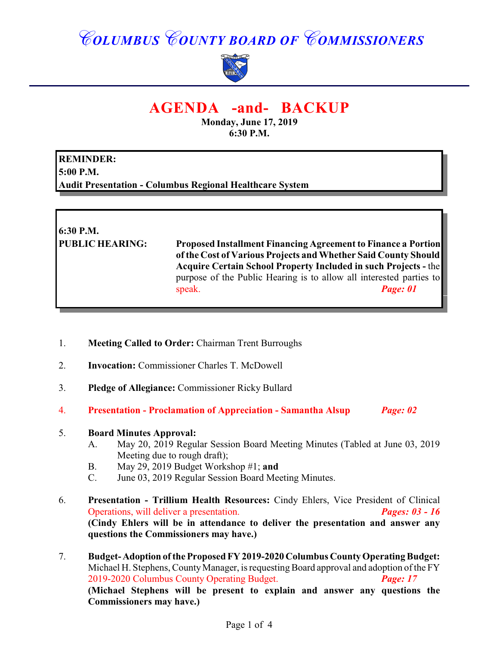# *COLUMBUS COUNTY BOARD OF COMMISSIONERS*



## **AGENDA -and- BACKUP**

**Monday, June 17, 2019 6:30 P.M.**

**REMINDER: 5:00 P.M. Audit Presentation - Columbus Regional Healthcare System**

**6:30 P.M. PUBLIC HEARING: Proposed Installment Financing Agreement to Finance a Portion of the Cost of Various Projects and Whether Said County Should Acquire Certain School Property Included in such Projects -** the purpose of the Public Hearing is to allow all interested parties to speak. *Page: 01* 

- 1. **Meeting Called to Order:** Chairman Trent Burroughs
- 2. **Invocation:** Commissioner Charles T. McDowell
- 3. **Pledge of Allegiance:** Commissioner Ricky Bullard
- 4. **Presentation Proclamation of Appreciation Samantha Alsup** *Page: 02*

#### 5. **Board Minutes Approval:**

- A. May 20, 2019 Regular Session Board Meeting Minutes (Tabled at June 03, 2019 Meeting due to rough draft);
- B. May 29, 2019 Budget Workshop #1; **and**
- C. June 03, 2019 Regular Session Board Meeting Minutes.
- 6. **Presentation Trillium Health Resources:** Cindy Ehlers, Vice President of Clinical Operations, will deliver a presentation. *Pages: 03 - 16* **(Cindy Ehlers will be in attendance to deliver the presentation and answer any questions the Commissioners may have.)**
- 7. **Budget- Adoption of the Proposed FY 2019-2020 Columbus County Operating Budget:** Michael H. Stephens, County Manager, is requesting Board approval and adoption of the FY 2019-2020 Columbus County Operating Budget. *Page: 17*  **(Michael Stephens will be present to explain and answer any questions the Commissioners may have.)**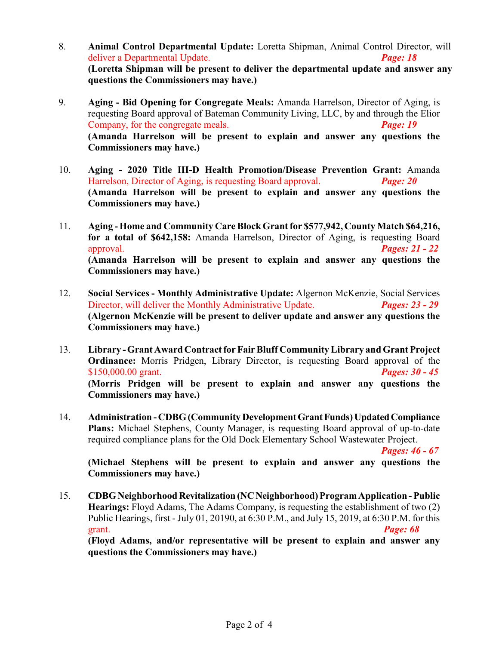- 8. **Animal Control Departmental Update:** Loretta Shipman, Animal Control Director, will deliver a Departmental Update. *Page: 18* **(Loretta Shipman will be present to deliver the departmental update and answer any questions the Commissioners may have.)**
- 9. **Aging Bid Opening for Congregate Meals:** Amanda Harrelson, Director of Aging, is requesting Board approval of Bateman Community Living, LLC, by and through the Elior Company, for the congregate meals. *Page: 19*  **(Amanda Harrelson will be present to explain and answer any questions the Commissioners may have.)**
- 10. **Aging 2020 Title III-D Health Promotion/Disease Prevention Grant:** Amanda Harrelson, Director of Aging, is requesting Board approval. *Page: 20* **(Amanda Harrelson will be present to explain and answer any questions the Commissioners may have.)**
- 11. **Aging Home and Community Care Block Grant for \$577,942, County Match \$64,216, for a total of \$642,158:** Amanda Harrelson, Director of Aging, is requesting Board approval. *Pages: 21 - 22* **(Amanda Harrelson will be present to explain and answer any questions the Commissioners may have.)**
- 12. **Social Services Monthly Administrative Update:** Algernon McKenzie, Social Services Director, will deliver the Monthly Administrative Update. *Pages: 23 - 29* **(Algernon McKenzie will be present to deliver update and answer any questions the Commissioners may have.)**
- 13. **Library Grant Award Contract for Fair Bluff Community Library and Grant Project Ordinance:** Morris Pridgen, Library Director, is requesting Board approval of the \$150,000.00 grant. *Pages: 30 - 45* **(Morris Pridgen will be present to explain and answer any questions the Commissioners may have.)**
- 14. **Administration CDBG (Community Development Grant Funds) Updated Compliance Plans:** Michael Stephens, County Manager, is requesting Board approval of up-to-date required compliance plans for the Old Dock Elementary School Wastewater Project.

*Pages: 46 - 67*

**(Michael Stephens will be present to explain and answer any questions the Commissioners may have.)**

15. **CDBG Neighborhood Revitalization (NC Neighborhood) Program Application - Public Hearings:** Floyd Adams, The Adams Company, is requesting the establishment of two (2) Public Hearings, first - July 01, 20190, at 6:30 P.M., and July 15, 2019, at 6:30 P.M. for this grant. *Page: 68*

**(Floyd Adams, and/or representative will be present to explain and answer any questions the Commissioners may have.)**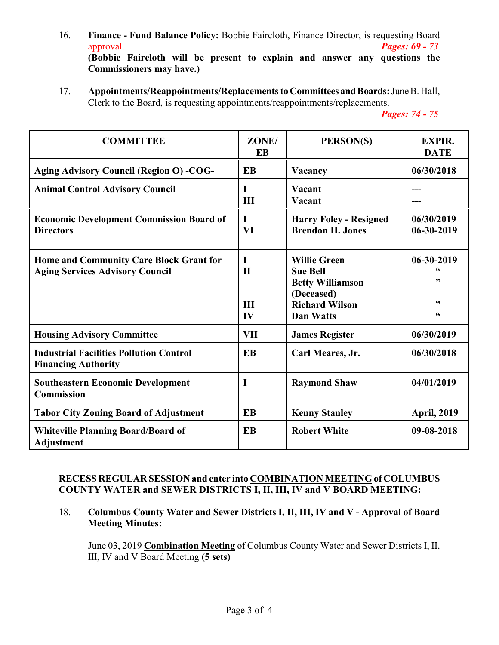- 16. **Finance Fund Balance Policy:** Bobbie Faircloth, Finance Director, is requesting Board approval. *Pages: 69 - 73* **(Bobbie Faircloth will be present to explain and answer any questions the**
	- **Commissioners may have.)**
- 17. **Appointments/Reappointments/Replacements to Committees and Boards:** June B. Hall, Clerk to the Board, is requesting appointments/reappointments/replacements.

*Pages: 74 - 75*

| <b>COMMITTEE</b>                                                                  | ZONE/<br><b>EB</b>             | PERSON(S)                                                                                                                    | <b>EXPIR.</b><br><b>DATE</b>                     |
|-----------------------------------------------------------------------------------|--------------------------------|------------------------------------------------------------------------------------------------------------------------------|--------------------------------------------------|
| <b>Aging Advisory Council (Region O) -COG-</b>                                    | <b>EB</b>                      | Vacancy                                                                                                                      | 06/30/2018                                       |
| <b>Animal Control Advisory Council</b>                                            | I<br>III                       | Vacant<br>Vacant                                                                                                             |                                                  |
| <b>Economic Development Commission Board of</b><br><b>Directors</b>               | I<br>VI                        | <b>Harry Foley - Resigned</b><br><b>Brendon H. Jones</b>                                                                     | 06/30/2019<br>06-30-2019                         |
| Home and Community Care Block Grant for<br><b>Aging Services Advisory Council</b> | I<br>$\mathbf{H}$<br>III<br>IV | <b>Willie Green</b><br><b>Sue Bell</b><br><b>Betty Williamson</b><br>(Deceased)<br><b>Richard Wilson</b><br><b>Dan Watts</b> | 06-30-2019<br>,,<br>,,<br>$\textsf{G}\textsf{G}$ |
| <b>Housing Advisory Committee</b>                                                 | <b>VII</b>                     | <b>James Register</b>                                                                                                        | 06/30/2019                                       |
| <b>Industrial Facilities Pollution Control</b><br><b>Financing Authority</b>      | <b>EB</b>                      | Carl Meares, Jr.                                                                                                             | 06/30/2018                                       |
| <b>Southeastern Economic Development</b><br><b>Commission</b>                     | I                              | <b>Raymond Shaw</b>                                                                                                          | 04/01/2019                                       |
| <b>Tabor City Zoning Board of Adjustment</b>                                      | EB                             | <b>Kenny Stanley</b>                                                                                                         | <b>April, 2019</b>                               |
| <b>Whiteville Planning Board/Board of</b><br><b>Adjustment</b>                    | <b>EB</b>                      | <b>Robert White</b>                                                                                                          | 09-08-2018                                       |

#### **RECESS REGULAR SESSION and enter into COMBINATION MEETING of COLUMBUS COUNTY WATER and SEWER DISTRICTS I, II, III, IV and V BOARD MEETING:**

18. **Columbus County Water and Sewer Districts I, II, III, IV and V - Approval of Board Meeting Minutes:**

June 03, 2019 **Combination Meeting** of Columbus County Water and Sewer Districts I, II, III, IV and V Board Meeting **(5 sets)**